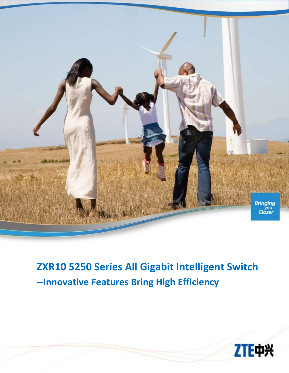

# **ZXR10 5250 Series All Gigabit Intelligent Switch --Innovative Features Bring High Efficiency**

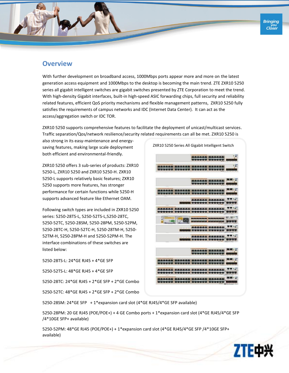

## **Overview**

With further development on broadband access, 1000Mbps ports appear more and more on the latest generation access equipment and 1000Mbps to the desktop is becoming the main trend. ZTE ZXR10 5250 series all gigabit intelligent switches are gigabit switches presented by ZTE Corporation to meet the trend. With high-density Gigabit interfaces, built-in high-speed ASIC forwarding chips, full security and reliability related features, efficient QoS priority mechanisms and flexible management patterns, ZXR10 5250 fully satisfies the requirements of campus networks and IDC (Internet Data Center). It can act as the access/aggregation switch or IDC TOR.

ZXR10 5250 supports comprehensive features to facilitate the deployment of unicast/multicast services. Traffic separation/Qos/network resilience/security related requirements can all be met. ZXR10 5250 is

also strong in its easy-maintenance and energysaving features, making large scale deployment both efficient and environmental-friendly.

ZXR10 5250 offers 3 sub-series of products: ZXR10 5250-L, ZXR10 5250 and ZXR10 5250-H. ZXR10 5250-L supports relatively basic features; ZXR10 5250 supports more features, has stronger performance for certain functions while 5250-H supports advanced feature like Ethernet OAM.

Following switch types are included in ZXR10 5250 series: 5250-28TS-L, 5250-52TS-L,5250-28TC, 5250-52TC, 5250-28SM, 5250-28PM, 5250-52PM, 5250-28TC-H, 5250-52TC-H, 5250-28TM-H, 5250- 52TM-H, 5250-28PM-H and 5250-52PM-H. The interface combinations of these switches are listed below:

5250-28TS-L: 24\*GE RJ45 + 4\*GE SFP 5250-52TS-L: 48\*GE RJ45 + 4\*GE SFP

5250-28TC: 24\*GE RJ45 + 2\*GE SFP + 2\*GE Combo

5250-52TC: 48\*GE RJ45 + 2\*GE SFP + 2\*GE Combo



5250-28SM: 24\*GE SFP + 1\*expansion card slot (4\*GE RJ45/4\*GE SFP available)

5250-28PM: 20 GE RJ45 (POE/POE+) + 4 GE Combo ports + 1\*expansion card slot (4\*GE RJ45/4\*GE SFP /4\*10GE SFP+ available)

5250-52PM: 48\*GE RJ45 (POE/POE+) + 1\*expansion card slot (4\*GE RJ45/4\*GE SFP /4\*10GE SFP+ available)

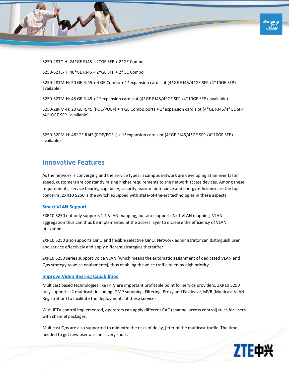

5250-28TC-H: 24\*GE RJ45 + 2\*GE SFP + 2\*GE Combo

5250-52TC-H: 48\*GE RJ45 + 2\*GE SFP + 2\*GE Combo

5250-28TM-H: 20 GE RJ45 + 4 GE Combo + 1\*expansion card slot (4\*GE RJ45/4\*GE SFP /4\*10GE SFP+ available)

5250-52TM-H: 48 GE RJ45 + 1\*expansion card slot (4\*GE RJ45/4\*GE SFP /4\*10GE SFP+ available)

5250-28PM-H: 20 GE RJ45 (POE/POE+) + 4 GE Combo ports + 1\*expansion card slot (4\*GE RJ45/4\*GE SFP /4\*10GE SFP+ available)

5250-52PM-H: 48\*GE RJ45 (POE/POE+) + 1\*expansion card slot (4\*GE RJ45/4\*GE SFP /4\*10GE SFP+ available)

## **Innovative Features**

As the network is converging and the service types in campus network are developing at an ever faster speed, customers are constantly raising higher requirements to the network access devices. Among these requirements, service bearing capability, security, easy-maintenance and energy-efficiency are the top concerns. ZXR10 5250 is the switch equipped with state-of-the-art technologies in these aspects.

#### **Smart VLAN Support**

ZXR10 5250 not only supports 1:1 VLAN mapping, but also supports N: 1 VLAN mapping. VLAN aggregation thus can thus be implemented at the access layer to increase the efficiency of VLAN utilization.

ZXR10 5250 also supports QinQ and flexible selective QinQ. Network administrator can distinguish user and service effectively and apply different strategies thereafter.

ZXR10 5250 series support Voice VLAN (which means the automatic assignment of dedicated VLAN and Qos strategy to voice equipments), thus enabling the voice traffic to enjoy high priority.

#### **Improve Video Bearing Capabilities**

Multicast based technologies like IPTV are important profitable point for service providers. ZXR10 5250 fully supports L2 multicast, including IGMP snooping, Filtering, Proxy and Fastleave, MVR (Multicast VLAN Registration) to facilitate the deployments of these services.

With IPTV control implemented, operators can apply different CAC (channel access control) rules for users with channel packages.

Multicast Qos are also supported to minimize the risks of delay, jitter of the multicast traffic. The time needed to get new user on-line is very short.

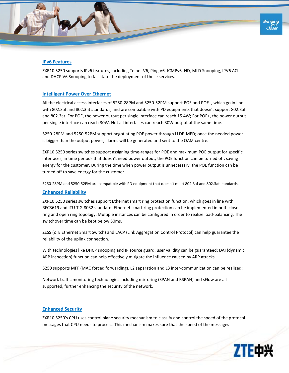

#### **IPv6 Features**

ZXR10 5250 supports IPv6 features, including Telnet V6, Ping V6, ICMPv6, ND, MLD Snooping, IPV6 ACL and DHCP V6 Snooping to facilitate the deployment of these services.

#### **Intelligent Power Over Ethernet**

All the electrical access interfaces of 5250-28PM and 5250-52PM support POE and POE+, which go in line with 802.3af and 802.3at standards, and are compatible with PD equipments that doesn't support 802.3af and 802.3at. For POE, the power output per single interface can reach 15.4W; For POE+, the power output per single interface can reach 30W. Not all interfaces can reach 30W output at the same time.

5250-28PM and 5250-52PM support negotiating POE power through LLDP-MED; once the needed power is bigger than the output power, alarms will be generated and sent to the OAM centre.

ZXR10 5250 series switches support assigning time-ranges for POE and maximum POE output for specific interfaces, in time periods that doesn't need power output, the POE function can be turned off, saving energy for the customer. During the time when power output is unnecessary, the POE function can be turned off to save energy for the customer.

5250-28PM and 5250-52PM are compatible with PD equipment that doesn't meet 802.3af and 802.3at standards.

#### **Enhanced Reliability**

ZXR10 5250 series switches support Ethernet smart ring protection function, which goes in line with RFC3619 and ITU.T G.8032 standard. Ethernet smart ring protection can be implemented in both close ring and open ring topology; Multiple instances can be configured in order to realize load-balancing. The switchover time can be kept below 50ms.

ZESS (ZTE Ethernet Smart Switch) and LACP (Link Aggregation Control Protocol) can help guarantee the reliability of the uplink connection.

With technologies like DHCP snooping and IP source guard, user validity can be guaranteed; DAI (dynamic ARP inspection) function can help effectively mitigate the influence caused by ARP attacks.

5250 supports MFF (MAC forced forwarding), L2 separation and L3 inter-communication can be realized;

Network traffic monitoring technologies including mirroring (SPAN and RSPAN) and sFlow are all supported, further enhancing the security of the network.

#### **Enhanced Security**

ZXR10 5250's CPU uses control plane security mechanism to classify and control the speed of the protocol messages that CPU needs to process. This mechanism makes sure that the speed of the messages

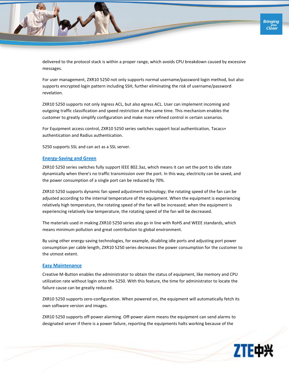delivered to the protocol stack is within a proper range, which avoids CPU breakdown caused by excessive messages.

For user management, ZXR10 5250 not only supports normal username/password login method, but also supports encrypted login pattern including SSH, further eliminating the risk of username/password revelation.

ZXR10 5250 supports not only ingress ACL, but also egress ACL. User can implement incoming and outgoing traffic classification and speed restriction at the same time. This mechanism enables the customer to greatly simplify configuration and make more refined control in certain scenarios.

For Equipment access control, ZXR10 5250 series switches support local authentication, Tacacs+ authentication and Radius authentication.

5250 supports SSL and can act as a SSL server.

#### **Energy-Saving and Green**

ZXR10 5250 series switches fully support IEEE 802.3az, which means it can set the port to idle state dynamically when there's no traffic transmission over the port. In this way, electricity can be saved, and the power consumption of a single port can be reduced by 70%.

ZXR10 5250 supports dynamic fan speed adjustment technology; the rotating speed of the fan can be adjusted according to the internal temperature of the equipment. When the equipment is experiencing relatively high temperature, the rotating speed of the fan will be increased; when the equipment is experiencing relatively low temperature, the rotating speed of the fan will be decreased.

The materials used in making ZXR10 5250 series also go in line with RoHS and WEEE standards, which means minimum pollution and great contribution to global environment.

By using other energy-saving technologies, for example, disabling idle ports and adjusting port power consumption per cable length, ZXR10 5250 series decreases the power consumption for the customer to the utmost extent.

#### **Easy Maintenance**

Creative M-Button enables the administrator to obtain the status of equipment, like memory and CPU utilization rate without login onto the 5250. With this feature, the time for administrator to locate the failure cause can be greatly reduced.

ZXR10 5250 supports zero-configuration. When powered on, the equipment will automatically fetch its own software version and images.

ZXR10 5250 supports off-power alarming. Off-power alarm means the equipment can send alarms to designated server if there is a power failure, reporting the equipments halts working because of the

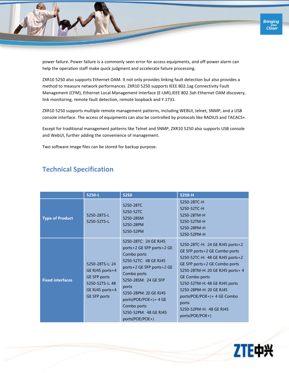power failure. Power failure is a commonly seen error for access equipments, and off-power alarm can help the operation staff make quick judgment and accelerate failure processing.

ZXR10 5250 also supports Ethernet OAM. It not only provides linking fault detection but also provides a method to measure network performances. ZXR10 5250 supports IEEE 802.1ag Connectivity Fault Management (CFM), Ethernet Local Management Interface (E-LMI),IEEE 802.3ah Ethernet OAM discovery, link monitoring, remote fault detection, remote loopback and Y.1731.

ZXR10 5250 supports multiple remote management patterns, including WEBUI, telnet, SNMP, and a USB console interface. The access of equipments can also be controlled by protocols like RADIUS and TACACS+.

Except for traditional management patterns like Telnet and SNMP, ZXR10 5250 also supports USB console and WebUI, further adding the convenience of management.

Two software image files can be stored for backup purpose.

|  | <b>Technical Specification</b> |
|--|--------------------------------|
|--|--------------------------------|

|                         | 5250-L                                                                                                          | 5250                                                                                                                                                                                                                                                                                 | 5250-H                                                                                                                                                                                                                                                                                                                                              |
|-------------------------|-----------------------------------------------------------------------------------------------------------------|--------------------------------------------------------------------------------------------------------------------------------------------------------------------------------------------------------------------------------------------------------------------------------------|-----------------------------------------------------------------------------------------------------------------------------------------------------------------------------------------------------------------------------------------------------------------------------------------------------------------------------------------------------|
| <b>Type of Product</b>  | 5250-28TS-L<br>5250-52TS-L                                                                                      | 5250-28TC<br>5250-52TC<br>5250-28SM<br>5250-28PM<br>5250-52PM                                                                                                                                                                                                                        | 5250-28TC-H<br>5250-52TC-H<br>5250-28TM-H<br>5250-52TM-H<br>5250-28PM-H<br>5250-52PM-H                                                                                                                                                                                                                                                              |
| <b>Fixed interfaces</b> | 5250-28TS-L: 24<br>GE RJ45 ports+4<br>GE SFP ports<br>5250-52TS-L: 48<br>GE RJ45 ports+4<br><b>GE SFP ports</b> | 5250-28TC: 24 GE RJ45<br>ports+2 GE SFP ports+2 GE<br>Combo ports<br>5250-52TC: 48 GE RJ45<br>ports+2 GE SFP ports+2 GE<br>Combo ports<br>5250-28SM: 24 GE SFP<br>ports<br>5250-28PM: 20 GE RJ45<br>ports(POE/POE+)+ 4 GE<br>Combo ports<br>5250-52PM: 48 GE RJ45<br>ports(POE/POE+) | 5250-28TC-H: 24 GE RJ45 ports+2<br>GE SFP ports+2 GE Combo ports<br>5250-52TC-H: 48 GE RJ45 ports+2<br>GE SFP ports+2 GE Combo ports<br>5250-28TM-H: 20 GE RJ45 ports+ 4<br><b>GE Combo ports</b><br>5250-52TM-H: 48 GE RJ45 ports<br>5250-28PM-H: 20 GE RJ45<br>ports(POE/POE+)+ 4 GE Combo<br>ports<br>5250-52PM-H: 48 GE RJ45<br>ports(POE/POE+) |

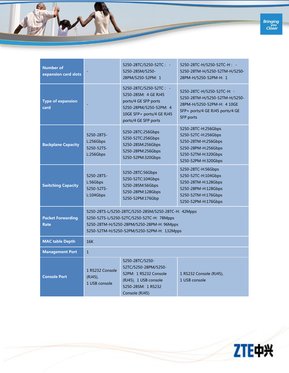

| <b>Number of</b><br>expansion card slots |                                                                                                                                                                                             | 5250-28TC/5250-52TC: -<br>5250-28SM/5250-<br>28PM/5250-52PM: 1                                                                                        | 5250-28TC-H/5250-52TC-H: -<br>5250-28TM-H/5250-52TM-H/5250-<br>28PM-H/5250-52PM-H: 1                                                      |
|------------------------------------------|---------------------------------------------------------------------------------------------------------------------------------------------------------------------------------------------|-------------------------------------------------------------------------------------------------------------------------------------------------------|-------------------------------------------------------------------------------------------------------------------------------------------|
| <b>Type of expansion</b><br>card         |                                                                                                                                                                                             | 5250-28TC/5250-52TC: -<br>5250-28SM: 4 GE RJ45<br>ports/4 GE SFP ports<br>5250-28PM/5250-52PM: 4<br>10GE SFP+ ports/4 GE RJ45<br>ports/4 GE SFP ports | 5250-28TC-H/5250-52TC-H: -<br>5250-28TM-H/5250-52TM-H/5250-<br>28PM-H/5250-52PM-H: 4 10GE<br>SFP+ ports/4 GE RJ45 ports/4 GE<br>SFP ports |
| <b>Backplane Capacity</b>                | 5250-28TS-<br>L:256Gbps<br>5250-52TS-<br>L:256Gbps                                                                                                                                          | 5250-28TC:256Gbps<br>5250-52TC:256Gbps<br>5250-28SM:256Gbps<br>5250-28PM:256Gbps<br>5250-52PM:320Gbps                                                 | 5250-28TC-H:256Gbps<br>5250-52TC-H:256Gbps<br>5250-28TM-H:256Gbps<br>5250-28PM-H:256Gbps<br>5250-52TM-H:320Gbps<br>5250-52PM-H:320Gbps    |
| <b>Switching Capacity</b>                | 5250-28TS-<br>L:56Gbps<br>5250-52TS-<br>L:104Gbps                                                                                                                                           | 5250-28TC:56Gbps<br>5250-52TC:104Gbps<br>5250-28SM:56Gbps<br>5250-28PM:128Gbps<br>5250-52PM:176Gbp                                                    | 5250-28TC-H:56Gbps<br>5250-52TC-H:104Gbps<br>5250-28TM-H:128Gbps<br>5250-28PM-H:128Gbps<br>5250-52TM-H:176Gbps<br>5250-52PM-H:176Gbps     |
| <b>Packet Forwarding</b><br><b>Rate</b>  | 5250-28TS-L/5250-28TC/5250-28SM/5250-28TC-H: 42Mpps<br>5250-52TS-L/5250-52TC/5250-52TC-H: 78Mpps<br>5250-28TM-H/5250-28PM/5250-28PM-H: 96Mpps<br>5250-52TM-H/5250-52PM/5250-52PM-H: 132Mpps |                                                                                                                                                       |                                                                                                                                           |
| <b>MAC table Depth</b>                   | 16K                                                                                                                                                                                         |                                                                                                                                                       |                                                                                                                                           |
| <b>Management Port</b>                   | $\mathbf{1}$                                                                                                                                                                                |                                                                                                                                                       |                                                                                                                                           |
| <b>Console Port</b>                      | 1 RS232 Console<br>(RJ45),<br>1 USB console                                                                                                                                                 | 5250-28TC/5250-<br>52TC/5250-28PM/5250-<br>52PM: 1 RS232 Console<br>(RJ45), 1 USB console<br>5250-28SM: 1 RS232<br>Console (RJ45)                     | 1 RS232 Console (RJ45),<br>1 USB console                                                                                                  |

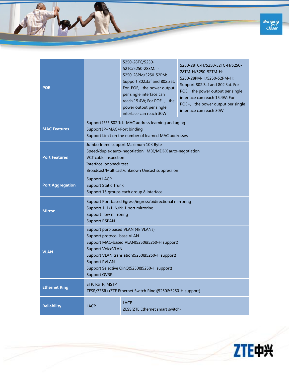

| <b>POE</b>              |                                                                                                                                                                                                                                                                                            | 5250-28TC/5250-<br>52TC/5250-28SM: -<br>5250-28PM/5250-52PM:<br>Support 802.3af and 802.3at.<br>For POE, the power output<br>per single interface can<br>reach 15.4W; For POE+, the<br>power output per single<br>interface can reach 30W | 5250-28TC-H/5250-52TC-H/5250-<br>28TM-H/5250-52TM-H: -<br>5250-28PM-H/5250-52PM-H:<br>Support 802.3af and 802.3at. For<br>POE, the power output per single<br>interface can reach 15.4W; For<br>POE+, the power output per single<br>interface can reach 30W |
|-------------------------|--------------------------------------------------------------------------------------------------------------------------------------------------------------------------------------------------------------------------------------------------------------------------------------------|-------------------------------------------------------------------------------------------------------------------------------------------------------------------------------------------------------------------------------------------|--------------------------------------------------------------------------------------------------------------------------------------------------------------------------------------------------------------------------------------------------------------|
| <b>MAC Features</b>     | Support IEEE 802.1d, MAC address learning and aging<br>Support IP+MAC+Port binding<br>Support Limit on the number of learned MAC addresses                                                                                                                                                 |                                                                                                                                                                                                                                           |                                                                                                                                                                                                                                                              |
| <b>Port Features</b>    | Jumbo frame support Maximum 10K Byte<br>Speed/duplex auto-negotiation, MDI/MDI-X auto-negotiation<br>VCT cable inspection<br>Interface loopback test<br>Broadcast/Multicast/unknown Unicast suppression                                                                                    |                                                                                                                                                                                                                                           |                                                                                                                                                                                                                                                              |
| <b>Port Aggregation</b> | <b>Support LACP</b><br><b>Support Static Trunk</b><br>Support 15 groups each group 8 interface                                                                                                                                                                                             |                                                                                                                                                                                                                                           |                                                                                                                                                                                                                                                              |
| <b>Mirror</b>           | Support Port based Egress/ingress/bidirectional mirroring<br>Support 1: 1/1: N/N: 1 port mirroring<br>Support flow mirroring<br><b>Support RSPAN</b>                                                                                                                                       |                                                                                                                                                                                                                                           |                                                                                                                                                                                                                                                              |
| <b>VLAN</b>             | Support port-based VLAN (4k VLANs)<br>Support protocol-base VLAN<br>Support MAC-based VLAN(5250&5250-H support)<br><b>Support VoiceVLAN</b><br>Support VLAN translation(5250&5250-H support)<br><b>Support PVLAN</b><br>Support Selective QinQ(5250&5250-H support)<br><b>Support GVRP</b> |                                                                                                                                                                                                                                           |                                                                                                                                                                                                                                                              |
| <b>Ethernet Ring</b>    | STP, RSTP, MSTP<br>ZESR/ZESR+(ZTE Ethernet Switch Ring)(5250&5250-H support)                                                                                                                                                                                                               |                                                                                                                                                                                                                                           |                                                                                                                                                                                                                                                              |
| <b>Reliability</b>      | <b>LACP</b><br><b>LACP</b><br>ZESS(ZTE Ethernet smart switch)                                                                                                                                                                                                                              |                                                                                                                                                                                                                                           |                                                                                                                                                                                                                                                              |

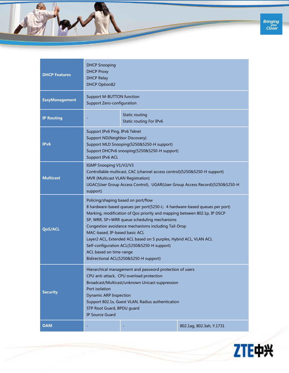

| <b>DHCP Features</b>  | <b>DHCP Snooping</b><br><b>DHCP Proxy</b><br><b>DHCP Relay</b><br><b>DHCP Option82</b>                                                                                                                                                                                                                                                                                                                                                                                                                                         |  |                          |
|-----------------------|--------------------------------------------------------------------------------------------------------------------------------------------------------------------------------------------------------------------------------------------------------------------------------------------------------------------------------------------------------------------------------------------------------------------------------------------------------------------------------------------------------------------------------|--|--------------------------|
| <b>EasyManagement</b> | <b>Support M-BUTTON function</b><br>Support Zero-configuration                                                                                                                                                                                                                                                                                                                                                                                                                                                                 |  |                          |
| <b>IP Routing</b>     | Static routing<br>Static routing For IPv6                                                                                                                                                                                                                                                                                                                                                                                                                                                                                      |  |                          |
| IP <sub>v</sub> 6     | Support IPv6 Ping, IPv6 Telnet<br>Support ND(Neighbor Discovery)<br>Support MLD Snooping(5250&5250-H support)<br>Support DHCPv6 snooping(5250&5250-H support)<br>Support IPv6 ACL                                                                                                                                                                                                                                                                                                                                              |  |                          |
| <b>Multicast</b>      | IGMP Snooping V1/V2/V3<br>Controllable multicast, CAC (channel access control)(5250&5250-H support)<br>MVR (Multicast VLAN Registration)<br>UGAC(User Group Access Control), UGAR(User Group Access Record)(5250&5250-H<br>support)                                                                                                                                                                                                                                                                                            |  |                          |
| <b>QoS/ACL</b>        | Policing/shaping based on port/flow<br>8 hardware-based queues per port(5250-L: 4 hardware-based queues per port)<br>Marking, modification of Qos priority and mapping between 802.1p, IP DSCP<br>SP, WRR, SP+WRR queue scheduling mechanisms<br>Congestion avoidance mechanisms including Tail-Drop<br>MAC-based, IP-based basic ACL<br>Layer2 ACL, Extended ACL based on 5 purples, Hybrid ACL, VLAN ACL<br>Self-configuration ACL(5250&5250-H support)<br>ACL based on time-range<br>Bidirectional ACL(5250&5250-H support) |  |                          |
| <b>Security</b>       | Hierarchical management and password protection of users<br>CPU anti-attack, CPU overload protection<br>Broadcast/Multicast/unknown Unicast suppression<br>Port isolation<br><b>Dynamic ARP Inspection</b><br>Support 802.1x, Guest VLAN, Radius authentication<br>STP Root Guard, BPDU guard<br><b>IP Source Guard</b>                                                                                                                                                                                                        |  |                          |
| <b>OAM</b>            |                                                                                                                                                                                                                                                                                                                                                                                                                                                                                                                                |  | 802.1ag, 802.3ah, Y.1731 |

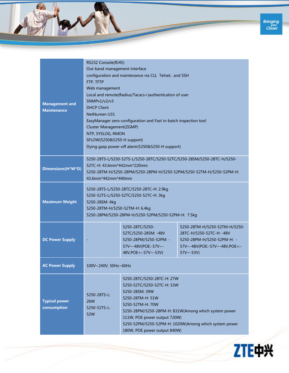

| <b>Management and</b><br><b>Maintenance</b> | RS232 Console(RJ45)<br>Out-band management interface<br>configuration and maintenance via CLI, Telnet, and SSH<br>FTP, TFTP<br>Web management<br>Local and remote(Radius/Tacacs+)authentication of user<br>SNMPv1/v2/v3<br><b>DHCP Client</b><br><b>NetNumen U31</b><br>EasyManager zero-configuration and Fast in-batch inspection tool<br>Cluster Management(ZGMP)<br>NTP, SYSLOG, RMON<br>SFLOW(5250&5250-H support)<br>Dying gasp power-off alarm(5250&5250-H support) |                                                                                                                                                                                                                                                                                                     |                                                                                                                                             |
|---------------------------------------------|----------------------------------------------------------------------------------------------------------------------------------------------------------------------------------------------------------------------------------------------------------------------------------------------------------------------------------------------------------------------------------------------------------------------------------------------------------------------------|-----------------------------------------------------------------------------------------------------------------------------------------------------------------------------------------------------------------------------------------------------------------------------------------------------|---------------------------------------------------------------------------------------------------------------------------------------------|
| Dimensions(H*W*D)                           | 5250-28TS-L/5250-52TS-L/5250-28TC/5250-52TC/5250-28SM/5250-28TC-H/5250-<br>52TC-H: 43.6mm*442mm*220mm<br>5250-28TM-H/5250-28PM/5250-28PM-H/5250-52PM/5250-52TM-H/5250-52PM-H:<br>43.6mm*442mm*440mm                                                                                                                                                                                                                                                                        |                                                                                                                                                                                                                                                                                                     |                                                                                                                                             |
| <b>Maximum Weight</b>                       | 5250-28TS-L/5250-28TC/5250-28TC-H: 2.9kg<br>5250-52TS-L/5250-52TC/5250-52TC-H: 3kg<br>5250-28SM: 4kg<br>5250-28TM-H/5250-52TM-H: 6.4kg<br>5250-28PM/5250-28PM-H/5250-52PM/5250-52PM-H: 7.5kg                                                                                                                                                                                                                                                                               |                                                                                                                                                                                                                                                                                                     |                                                                                                                                             |
| <b>DC Power Supply</b>                      |                                                                                                                                                                                                                                                                                                                                                                                                                                                                            | 5250-28TC/5250-<br>52TC/5250-28SM: -48V<br>5250-28PM/5250-52PM: -<br>57V~-48V(POE:-57V~-<br>48V, POE+: - 57V ~ - 53V)                                                                                                                                                                               | 5250-28TM-H/5250-52TM-H/5250-<br>28TC-H/5250-52TC-H: -48V<br>5250-28PM-H/5250-52PM-H: -<br>57V~-48V(POE:-57V~-48V,POE+:-<br>$57V \sim -53V$ |
| <b>AC Power Supply</b>                      | 100V~240V, 50Hz~60Hz                                                                                                                                                                                                                                                                                                                                                                                                                                                       |                                                                                                                                                                                                                                                                                                     |                                                                                                                                             |
| <b>Typical power</b><br>consumption         | 5250-28TS-L:<br>26W<br>5250-52TS-L:<br>52W                                                                                                                                                                                                                                                                                                                                                                                                                                 | 5250-28TC/5250-28TC-H: 27W<br>5250-52TC/5250-52TC-H: 53W<br>5250-28SM: 39W<br>5250-28TM-H: 51W<br>5250-52TM-H: 70W<br>5250-28PM/5250-28PM-H: 831W(Among which system power<br>111W, POE power output 720W)<br>5250-52PM/5250-52PM-H: 1020W(Among which system power<br>180W, POE power output 840W) |                                                                                                                                             |

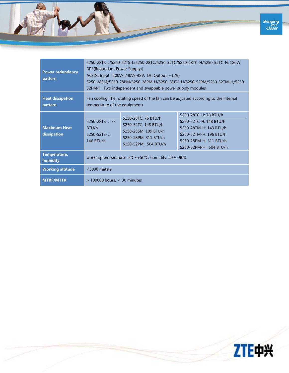

| <b>Power redundancy</b><br>pattern | 5250-28TS-L/5250-52TS-L/5250-28TC/5250-52TC/5250-28TC-H/5250-52TC-H: 180W<br>RPS(Redundant Power Supply)(<br>AC/DC Input: 100V~240V/-48V, DC Output: +12V)<br>5250-28SM/5250-28PM/5250-28PM-H/5250-28TM-H/5250-52PM/5250-52TM-H/5250-<br>52PM-H: Two independent and swappable power supply modules |                                                                                                                     |                                                                                                                                                         |
|------------------------------------|-----------------------------------------------------------------------------------------------------------------------------------------------------------------------------------------------------------------------------------------------------------------------------------------------------|---------------------------------------------------------------------------------------------------------------------|---------------------------------------------------------------------------------------------------------------------------------------------------------|
| <b>Heat dissipation</b><br>pattern | Fan cooling(The rotating speed of the fan can be adjusted according to the internal<br>temperature of the equipment)                                                                                                                                                                                |                                                                                                                     |                                                                                                                                                         |
| <b>Maximum Heat</b><br>dissipation | 5250-28TS-L: 73<br>BTU/h<br>$5250 - 52TS - 1$<br>146 BTU/h                                                                                                                                                                                                                                          | 5250-28TC: 76 BTU/h<br>5250-52TC: 148 BTU/h<br>5250-28SM: 109 BTU/h<br>5250-28PM: 311 BTU/h<br>5250-52PM: 504 BTU/h | 5250-28TC-H: 76 BTU/h<br>5250-52TC-H: 148 BTU/h<br>5250-28TM-H: 143 BTU/h<br>5250-52TM-H: 196 BTU/h<br>5250-28PM-H: 311 BTU/h<br>5250-52PM-H: 504 BTU/h |
| Temperature,<br>humidity           | working temperature: -5°C~+50°C, humidity: 20%~90%                                                                                                                                                                                                                                                  |                                                                                                                     |                                                                                                                                                         |
| <b>Working altitude</b>            | <3000 meters                                                                                                                                                                                                                                                                                        |                                                                                                                     |                                                                                                                                                         |
| <b>MTBF/MTTR</b>                   | $>$ 100000 hours/ < 30 minutes                                                                                                                                                                                                                                                                      |                                                                                                                     |                                                                                                                                                         |